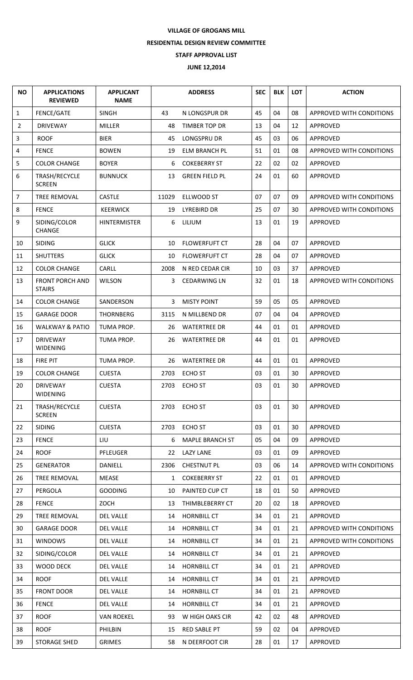## **VILLAGE OF GROGANS MILL RESIDENTIAL DESIGN REVIEW COMMITTEE STAFF APPROVAL LIST JUNE 12,2014**

| <b>NO</b>      | <b>APPLICATIONS</b><br><b>REVIEWED</b>  | <b>APPLICANT</b><br><b>NAME</b> | <b>ADDRESS</b> |                        | <b>SEC</b> | <b>BLK</b> | <b>LOT</b> | <b>ACTION</b>                   |
|----------------|-----------------------------------------|---------------------------------|----------------|------------------------|------------|------------|------------|---------------------------------|
| $\mathbf{1}$   | FENCE/GATE                              | <b>SINGH</b>                    | 43             | N LONGSPUR DR          | 45         | 04         | 08         | <b>APPROVED WITH CONDITIONS</b> |
| $\overline{2}$ | <b>DRIVEWAY</b>                         | <b>MILLER</b>                   | 48             | TIMBER TOP DR          | 13         | 04         | 12         | APPROVED                        |
| 3              | <b>ROOF</b>                             | <b>BIER</b>                     | 45             | LONGSPRU DR            | 45         | 03         | 06         | APPROVED                        |
| 4              | <b>FENCE</b>                            | <b>BOWEN</b>                    | 19             | ELM BRANCH PL          | 51         | 01         | 08         | APPROVED WITH CONDITIONS        |
| 5              | <b>COLOR CHANGE</b>                     | <b>BOYER</b>                    | 6              | <b>COKEBERRY ST</b>    | 22         | 02         | 02         | APPROVED                        |
| 6              | TRASH/RECYCLE<br><b>SCREEN</b>          | <b>BUNNUCK</b>                  | 13             | <b>GREEN FIELD PL</b>  | 24         | 01         | 60         | APPROVED                        |
| $\overline{7}$ | TREE REMOVAL                            | <b>CASTLE</b>                   | 11029          | ELLWOOD ST             | 07         | 07         | 09         | APPROVED WITH CONDITIONS        |
| 8              | <b>FENCE</b>                            | <b>KEERWICK</b>                 | 19             | <b>LYREBIRD DR</b>     | 25         | 07         | 30         | APPROVED WITH CONDITIONS        |
| 9              | SIDING/COLOR<br>CHANGE                  | <b>HINTERMISTER</b>             | 6              | LILIUM                 | 13         | 01         | 19         | <b>APPROVED</b>                 |
| 10             | <b>SIDING</b>                           | <b>GLICK</b>                    | 10             | <b>FLOWERFUFT CT</b>   | 28         | 04         | 07         | APPROVED                        |
| 11             | <b>SHUTTERS</b>                         | <b>GLICK</b>                    | 10             | <b>FLOWERFUFT CT</b>   | 28         | 04         | 07         | APPROVED                        |
| 12             | <b>COLOR CHANGE</b>                     | CARLL                           | 2008           | N RED CEDAR CIR        | 10         | 03         | 37         | APPROVED                        |
| 13             | <b>FRONT PORCH AND</b><br><b>STAIRS</b> | <b>WILSON</b>                   | 3              | <b>CEDARWING LN</b>    | 32         | 01         | 18         | APPROVED WITH CONDITIONS        |
| 14             | <b>COLOR CHANGE</b>                     | SANDERSON                       | 3              | <b>MISTY POINT</b>     | 59         | 05         | 05         | APPROVED                        |
| 15             | <b>GARAGE DOOR</b>                      | <b>THORNBERG</b>                | 3115           | N MILLBEND DR          | 07         | 04         | 04         | APPROVED                        |
| 16             | <b>WALKWAY &amp; PATIO</b>              | TUMA PROP.                      | 26             | <b>WATERTREE DR</b>    | 44         | 01         | 01         | APPROVED                        |
| 17             | <b>DRIVEWAY</b><br><b>WIDENING</b>      | TUMA PROP.                      | 26             | <b>WATERTREE DR</b>    | 44         | 01         | 01         | APPROVED                        |
| 18             | FIRE PIT                                | TUMA PROP.                      | 26             | <b>WATERTREE DR</b>    | 44         | 01         | 01         | APPROVED                        |
| 19             | <b>COLOR CHANGE</b>                     | <b>CUESTA</b>                   | 2703           | <b>ECHO ST</b>         | 03         | 01         | 30         | APPROVED                        |
| 20             | <b>DRIVEWAY</b><br><b>WIDENING</b>      | <b>CUESTA</b>                   | 2703           | <b>ECHO ST</b>         | 03         | 01         | 30         | APPROVED                        |
| 21             | TRASH/RECYCLE<br><b>SCREEN</b>          | <b>CUESTA</b>                   | 2703           | <b>ECHO ST</b>         | 03         | 01         | 30         | APPROVED                        |
| 22             | <b>SIDING</b>                           | <b>CUESTA</b>                   | 2703           | <b>ECHO ST</b>         | 03         | 01         | 30         | APPROVED                        |
| 23             | <b>FENCE</b>                            | LIU                             | 6              | <b>MAPLE BRANCH ST</b> | 05         | 04         | 09         | APPROVED                        |
| 24             | <b>ROOF</b>                             | <b>PFLEUGER</b>                 | 22             | <b>LAZY LANE</b>       | 03         | 01         | 09         | APPROVED                        |
| 25             | <b>GENERATOR</b>                        | <b>DANIELL</b>                  | 2306           | <b>CHESTNUT PL</b>     | 03         | 06         | 14         | <b>APPROVED WITH CONDITIONS</b> |
| 26             | TREE REMOVAL                            | MEASE                           | $\mathbf{1}$   | <b>COKEBERRY ST</b>    | 22         | 01         | 01         | APPROVED                        |
| 27             | PERGOLA                                 | <b>GOODING</b>                  | 10             | PAINTED CUP CT         | 18         | 01         | 50         | APPROVED                        |
| 28             | <b>FENCE</b>                            | ZOCH                            | 13             | THIMBLEBERRY CT        | 20         | 02         | 18         | APPROVED                        |
| 29             | TREE REMOVAL                            | <b>DEL VALLE</b>                | 14             | <b>HORNBILL CT</b>     | 34         | 01         | 21         | APPROVED                        |
| 30             | <b>GARAGE DOOR</b>                      | <b>DEL VALLE</b>                | 14             | <b>HORNBILL CT</b>     | 34         | 01         | 21         | <b>APPROVED WITH CONDITIONS</b> |
| 31             | <b>WINDOWS</b>                          | <b>DEL VALLE</b>                | 14             | <b>HORNBILL CT</b>     | 34         | 01         | 21         | APPROVED WITH CONDITIONS        |
| 32             | SIDING/COLOR                            | <b>DEL VALLE</b>                | 14             | <b>HORNBILL CT</b>     | 34         | 01         | 21         | APPROVED                        |
| 33             | <b>WOOD DECK</b>                        | <b>DEL VALLE</b>                | 14             | <b>HORNBILL CT</b>     | 34         | 01         | 21         | <b>APPROVED</b>                 |
| 34             | <b>ROOF</b>                             | <b>DEL VALLE</b>                | 14             | <b>HORNBILL CT</b>     | 34         | 01         | 21         | APPROVED                        |
| 35             | <b>FRONT DOOR</b>                       | <b>DEL VALLE</b>                | 14             | <b>HORNBILL CT</b>     | 34         | 01         | 21         | APPROVED                        |
| 36             | <b>FENCE</b>                            | <b>DEL VALLE</b>                | 14             | <b>HORNBILL CT</b>     | 34         | 01         | 21         | APPROVED                        |
| 37             | <b>ROOF</b>                             | <b>VAN ROEKEL</b>               | 93             | W HIGH OAKS CIR        | 42         | 02         | 48         | APPROVED                        |
| 38             | <b>ROOF</b>                             | PHILBIN                         | 15             | <b>RED SABLE PT</b>    | 59         | 02         | 04         | <b>APPROVED</b>                 |
| 39             | <b>STORAGE SHED</b>                     | <b>GRIMES</b>                   | 58             | N DEERFOOT CIR         | 28         | 01         | 17         | APPROVED                        |